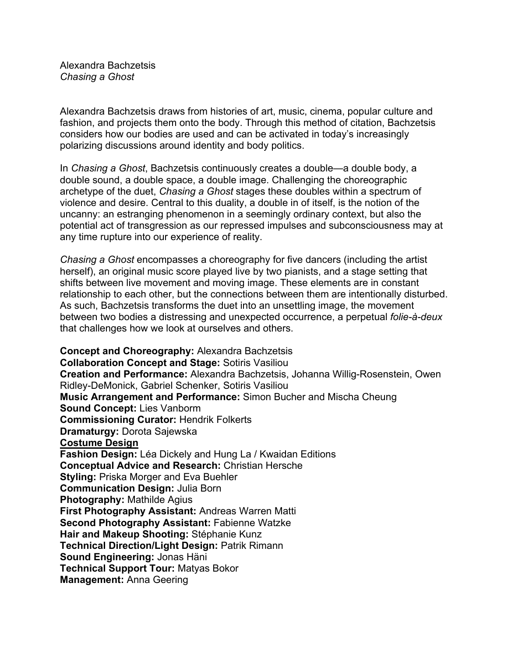Alexandra Bachzetsis *Chasing a Ghost*

Alexandra Bachzetsis draws from histories of art, music, cinema, popular culture and fashion, and projects them onto the body. Through this method of citation, Bachzetsis considers how our bodies are used and can be activated in today's increasingly polarizing discussions around identity and body politics.

In *Chasing a Ghost*, Bachzetsis continuously creates a double—a double body, a double sound, a double space, a double image. Challenging the choreographic archetype of the duet, *Chasing a Ghost* stages these doubles within a spectrum of violence and desire. Central to this duality, a double in of itself, is the notion of the uncanny: an estranging phenomenon in a seemingly ordinary context, but also the potential act of transgression as our repressed impulses and subconsciousness may at any time rupture into our experience of reality.

*Chasing a Ghost* encompasses a choreography for five dancers (including the artist herself), an original music score played live by two pianists, and a stage setting that shifts between live movement and moving image. These elements are in constant relationship to each other, but the connections between them are intentionally disturbed. As such, Bachzetsis transforms the duet into an unsettling image, the movement between two bodies a distressing and unexpected occurrence, a perpetual *folie-à-deux*  that challenges how we look at ourselves and others.

**Concept and Choreography:** Alexandra Bachzetsis **Collaboration Concept and Stage:** Sotiris Vasiliou **Creation and Performance:** Alexandra Bachzetsis, Johanna Willig-Rosenstein, Owen Ridley-DeMonick, Gabriel Schenker, Sotiris Vasiliou **Music Arrangement and Performance:** Simon Bucher and Mischa Cheung **Sound Concept:** Lies Vanborm **Commissioning Curator:** Hendrik Folkerts **Dramaturgy:** Dorota Sajewska **Costume Design Fashion Design:** Léa Dickely and Hung La / Kwaidan Editions **Conceptual Advice and Research:** Christian Hersche **Styling:** Priska Morger and Eva Buehler **Communication Design:** Julia Born **Photography:** Mathilde Agius **First Photography Assistant:** Andreas Warren Matti **Second Photography Assistant:** Fabienne Watzke **Hair and Makeup Shooting:** Stéphanie Kunz **Technical Direction/Light Design:** Patrik Rimann **Sound Engineering:** Jonas Häni **Technical Support Tour:** Matyas Bokor **Management:** Anna Geering